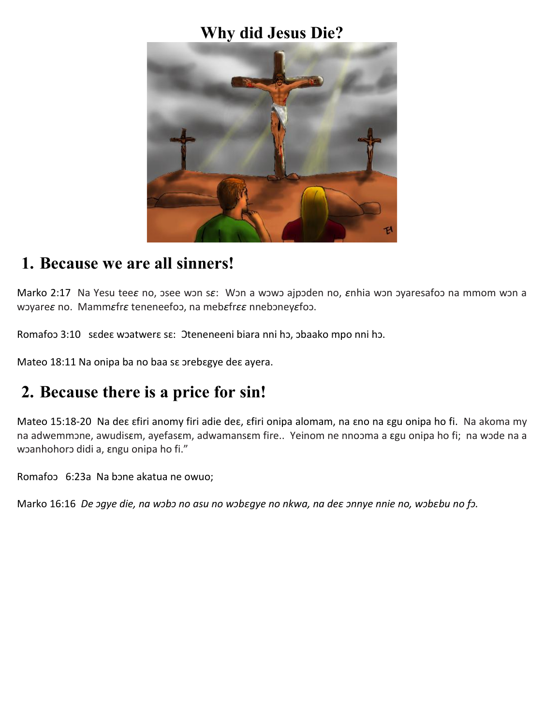#### **Why did Jesus Die?**



## **1. Because we are all sinners!**

Marko 2:17 Na Yesu tee*ɛ* no, ɔsee wɔn s*ɛ*: Wɔn a wɔwɔ ajpɔden no, *ɛ*nhia wɔn ɔyaresafoɔ na mmom wɔn a wɔyare*ɛ* no. Mamm*ɛ*fr*ɛ* teneneefoɔ, na meb*ɛ*fr*ɛɛ* nnebɔney*ɛ*foɔ.

Romafoɔ 3:10 sɛdeɛ wɔatwerɛ sɛ: Oteneneeni biara nni hɔ, ɔbaako mpo nni hɔ.

Mateo 18:11 Na onipa ba no baa sɛ ɔrebɛgye deɛ ayera.

# **2. Because there is a price for sin!**

Mateo 15:18-20 Na deɛ ɛfiri anomy firi adie deɛ, ɛfiri onipa alomam, na ɛno na ɛgu onipa ho fi. Na akoma my na adwemmɔne, awudisɛm, ayefasɛm, adwamansɛm fire.. Yeinom ne nnoɔma a ɛgu onipa ho fi; na wɔde na a woanhohoro didi a, angu onipa ho fi."

Romafoɔ 6:23a Na bɔne akatua ne owuo;

Marko 16:16 *De ɔgye die, na wɔbɔ no asu no wɔbɛgye no nkwa, na deɛ ɔnnye nnie no, wɔbɛbu no fɔ.*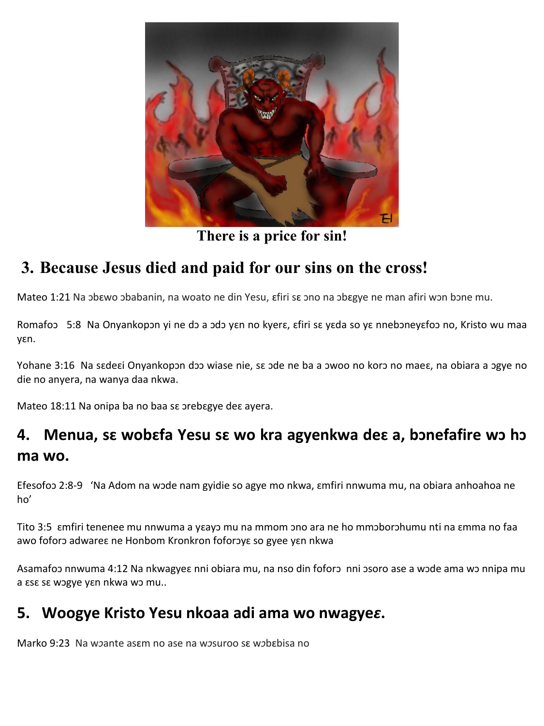

**There is a price for sin!**

## **3. Because Jesus died and paid for our sins on the cross!**

Mateo 1:21 Na ɔbɛwo ɔbabanin, na woato ne din Yesu, ɛfiri sɛ ɔno na ɔbɛgye ne man afiri wɔn bɔne mu.

Romafoɔ 5:8 Na Onyankopɔn yi ne dɔ a ɔdɔ yɛn no kyerɛ, ɛfiri sɛ yɛda so yɛ nnebɔneyɛfoɔ no, Kristo wu maa yɛn.

Yohane 3:16 Na sɛdeɛi Onyankopɔn dɔɔ wiase nie, sɛ ɔde ne ba a ɔwoo no korɔ no maeɛ, na obiara a ɔgye no die no anyera, na wanya daa nkwa.

Mateo 18:11 Na onipa ba no baa sɛ ɔrebɛgye deɛ ayera.

## **4. Menua, sɛ wobɛfa Yesu sɛ wo kra agyenkwa deɛ a, bɔnefafire wɔ hɔ ma wo.**

Efesofoɔ 2:8-9 'Na Adom na wɔde nam gyidie so agye mo nkwa, ɛmfiri nnwuma mu, na obiara anhoahoa ne ho'

Tito 3:5 ɛmfiri tenenee mu nnwuma a yɛayɔ mu na mmom ɔno ara ne ho mmɔborɔhumu nti na ɛmma no faa awo foforɔ adwareɛ ne Honbom Kronkron foforɔyɛ so gyee yɛn nkwa

Asamafoɔ nnwuma 4:12 Na nkwagyeɛ nni obiara mu, na nso din foforɔ nni ɔsoro ase a wɔde ama wɔ nnipa mu a ɛsɛ sɛ wɔgye yɛn nkwa wɔ mu..

#### **5. Woogye Kristo Yesu nkoaa adi ama wo nwagye***ɛ***.**

Marko 9:23 Na w*ɔ*ante asɛm no ase na w*ɔ*suroo sɛ w*ɔ*bɛbisa no